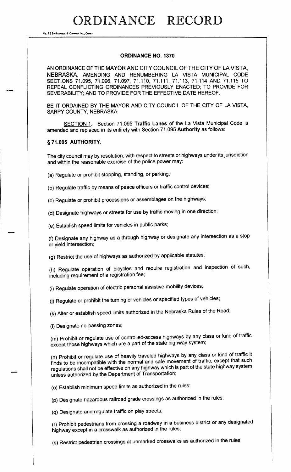RDINANCE RECORD

Na. 72 8-REDFIELD & COMPANY INC., O

## ORDINANCE NO. 1370

AN ORDINANCE OF THE MAYOR AND CITY COUNCIL OF THE CITY OF LA VISTA, NEBRASKA, AMENDING AND RENUMBERING LA VISTA MUNICIPAL CODE SECTIONS 71. 095, 71. 096, 71. 097, 71. 110, 71. 111, 71. 113, 71. 114 AND 71. 115 TO REPEAL CONFLICTING ORDINANCES PREVIOUSLY ENACTED; TO PROVIDE FOR SEVERABILITY; AND TO PROVIDE FOR THE EFFECTIVE DATE HEREOF.

BE IT ORDAINED BY THE MAYOR AND CITY COUNCIL OF THE CITY OF LA VISTA, SARPY COUNTY, NEBRASKA:

SECTION 1. Section 71.095 Traffic Lanes of the La Vista Municipal Code is amended and replaced in its entirety with Section 71. 095 Authority as follows:

#### § 71.095 AUTHORITY.

The city council may by resolution, with respect to streets or highways under its jurisdiction and within the reasonable exercise of the police power may:

a) Regulate or prohibit stopping, standing, or parking;

b) Regulate traffic by means of peace officers or traffic control devices;

c) Regulate or prohibit processions or assemblages on the highways;

d) Designate highways or streets for use by traffic moving in one direction;

e) Establish speed limits for vehicles in public parks;

f) Designate any highway as a through highway or designate any intersection as a stop or yield intersection;

g) Restrict the use of highways as authorized by applicable statutes;

h) Regulate operation of bicycles and require registration and inspection of such, including requirement of a registration fee;

i) Regulate operation of electric personal assistive mobility devices;

(j) Regulate or prohibit the turning of vehicles or specified types of vehicles;

k) Alter or establish speed limits authorized in the Nebraska Rules of the Road;

(I) Designate no-passing zones;

m) Prohibit or regulate use of controlled- access highways by any class or kind of traffic except those highways which are a part of the state highway system;

n) Prohibit or regulate use of heavily traveled highways by any class or kind of traffic it finds to be incompatible with the normal and safe movement of traffic, except that such regulations shall not be effective on any highway which is part of the state highway system unless authorized by the Department of Transportation;

o) Establish minimum speed limits as authorized in the rules;

p) Designate hazardous railroad grade crossings as authorized in the rules;

q) Designate and regulate traffic on play streets;

r) Prohibit pedestrians from crossing a roadway in a business district or any designated highway except in a crosswalk as authorized in the rules;

s) Restrict pedestrian crossings at unmarked crosswalks as authorized in the rules;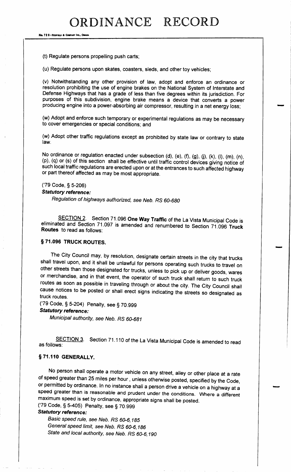No. 72 8-REDFIELD & COMPANY INC., OMAHA

t) Regulate persons propelling push carts;

u) Regulate persons upon skates, coasters, sleds, and other toy vehicles;

v) Notwithstanding any other provision of law, adopt and enforce an ordinance or resolution prohibiting the use of engine brakes on the National System of Interstate and Defense Highways that has a grade of less than five degrees within its jurisdiction. For purposes of this subdivision, engine brake means <sup>a</sup> device that converts <sup>a</sup> power producing engine into a power-absorbing air compressor, resulting in a net energy loss;

w) Adopt and enforce such temporary or experimental regulations as may be necessary to cover emergencies or special conditions; and

w) Adopt other traffic regulations except as prohibited by state law or contrary to state law.

No ordinance or regulation enacted under subsection (d), (e), (f), (g), (j), (k), (l), (m), (n), (p), (q) or (s) of this section shall be effective until traffic control devices giving notice of such local traffic regulations are erected upon or at the entrances to such affected highway or part thereof affected as may be most appropriate.

79 Code, § 5- 206) Statutory reference:

Regulation of highways authorized, see Neb. RS 60-680

SECTION 2. Section 71.096 One Way Traffic of the La Vista Municipal Code is eliminated and Section 71. 097 is amended and renumbered to Section 71. 096 Truck Routes to read as follows:

#### § 71.096 TRUCK ROUTES.

The City Council may, by resolution, designate certain streets in the city that trucks shall travel upon, and it shall be unlawful for persons operating such trucks to travel on other streets than those designated for trucks, unless to pick up or deliver goods, wares or merchandise, and in that event, the operator of such truck shall return to such truck routes as soon as possible in traveling through or about the city. The City Council shall cause notices to be posted or shall erect signs indicating the streets so designated as truck routes.

<sup>79</sup> Code, § 5- 204) Penalty, see § 70. <sup>999</sup>

# Statutory reference:

Municipal authority, see Neb. RS 60-681

SECTION 3. Section 71.110 of the La Vista Municipal Code is amended to read as follows:

#### §71.110 GENERALLY.

No person shall operate a motor vehicle on any street, alley or other place at a rate of speed greater than 25 miles per hour, unless otherwise posted, specified by the Code, or permitted by ordinance. In no instance shall a person drive a vehicle on a highway at a speed greater than is reasonable and prudent under the conditions. Where <sup>a</sup> different maximum speed is set by ordinance, appropriate signs shall be posted. <sup>79</sup> Code, § 5- 405) Penalty, see § 70.999

Statutory reference:

Basic speed rule, see Neb. RS 60-6, 185 General speed limit, see Neb. RS 60-6, 186 State and local authority, see Neb. RS 60-6,190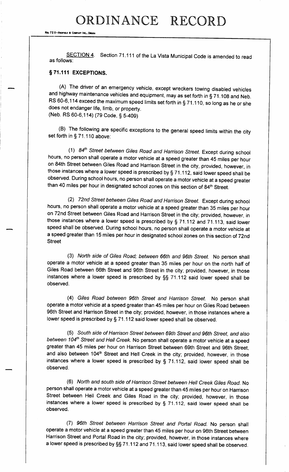# ORDINANCE RECORD

No. 72 8-REDFIELD & COMPANY INC., OMAN

SECTION 4. Section 71.111 of the La Vista Municipal Code is amended to read as follows:

# § 71.111 EXCEPTIONS.

A) The driver of an emergency vehicle, except wreckers towing disabled vehicles and highway maintenance vehicles and equipment, may as set forth in § 71. <sup>108</sup> and Neb. RS 60-6, 114 exceed the maximum speed limits set forth in § 71.110, so long as he or she does not endanger life, limb, or property. (Neb. RS 60-6, 114) (79 Code, § 5-409)

B) The following are specific exceptions to the general speed limits within the city set forth in § 71. <sup>110</sup> above:

 $1)$  84<sup>th</sup> Street between Giles Road and Harrison Street. Except during school hours, no person shall operate a motor vehicle at a speed greater than 45 miles per hour on 84th Street between Giles Road and Harrison Street in the city, provided, however, in those instances where <sup>a</sup> lower speed is prescribed by§ 71. 112, said lower speed shall be observed. During school hours, no person shall operate a motor vehicle at a speed greater than 40 miles per hour in designated school zones on this section of 84<sup>th</sup> Street.

2) 72nd Street between Giles Road and Harrison Street. Except during school hours, no person shall operate a motor vehicle at a speed greater than 35 miles per hour on 72nd Street between Giles Road and Harrison Street in the city; provided, however, in those instances where <sup>a</sup> lower speed is prescribed by § 71. <sup>112</sup> and 71. 113, said lower speed shall be observed. During school hours, no person shall operate a motor vehicle at a speed greater than 15 miles per hour in designated school zones on this section of 72nd **Street** 

3) North side of Giles Road; between 66th and 96th Street. No person shall operate a motor vehicle at a speed greater than 35 miles per hour on the north half of Giles Road between 66th Street and 96th Street in the city; provided, however, in those instances where <sup>a</sup> lower speed is prescribed by §§ 71. <sup>112</sup> said lower speed shall be observed.

4) Giles Road between 96th Street and Harrison Street. No person shall operate a motor vehicle at a speed greater than 45 miles per hour on Giles Road between 96th Street and Harrison Street in the city; provided, however, in those instances where a lower speed is prescribed by § 71. 112 said lower speed shall be observed.

5) South side of Harrison Street between 69th Street and 96th Street, and also between 104<sup>th</sup> Street and Hell Creek. No person shall operate a motor vehicle at a speed greater than 45 miles per hour on Harrison Street between 69th Street and 96th Street, and also between 104<sup>th</sup> Street and Hell Creek in the city; provided, however, in those instances where <sup>a</sup> lower speed is prescribed by § 71. 112, said lower speed shall be observed.

6) North and south side of Harrison Street between Hell Creek Giles Road. No person shall operate a motor vehicle at a speed greater than 45 miles per hour on Harrison Street between Hell Creek and Giles Road in the city; provided, however, in those instances where <sup>a</sup> lower speed is prescribed by § 71. 112, said lower speed shall be observed.

7) 96th Street between Harrison Street and Portal Road. No person shall operate a motor vehicle at a speed greater than 45 miles per hour on 96th Street between Harrison Street and Portal Road in the city; provided, however, in those instances where <sup>a</sup> lower speed is prescribed by§§ 71. 112 and 71. 113, said lower speed shall be observed.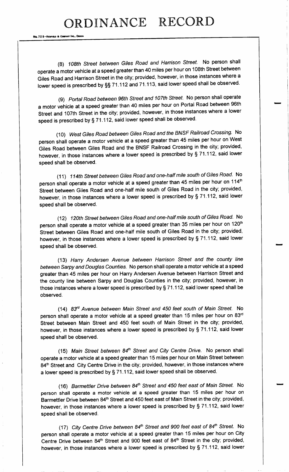Ne. 72 8-Repries & Co.

8) 108th Street between Giles Road and Harrison Street. No person shall operate a motor vehicle at a speed greater than 40 miles per hour on 108th Street between Giles Road and Harrison Street in the city; provided, however, in those instances where a lower speed is prescribed by §§ 71. <sup>112</sup> and 71. 113, said lower speed shall be observed.

9) Portal Road between 96th Street and 107th Street. No person shall operate a motor vehicle at a speed greater than 40 miles per hour on Portal Road between 96th Street and 107th Street in the city; provided, however, in those instances where a lower speed is prescribed by § 71. 112, said lower speed shall be observed.

10) West Giles Road between Giles Road and the BNSF Railroad Crossing. No person shall operate a motor vehicle at a speed greater than 45 miles per hour on West Giles Road between Giles Road and the BNSF Railroad Crossing in the city; provided, however, in those instances where <sup>a</sup> lower speed is prescribed by § 71. 112, said lower speed shall be observed.

11) 114th Street between Giles Road and one-half mile south of Giles Road. No person shall operate a motor vehicle at a speed greater than 45 miles per hour on 114<sup>th</sup> Street between Giles Road and one- half mile south of Giles Road in the city; provided, however, in those instances where <sup>a</sup> lower speed is prescribed by § 71. 112, said lower speed shall be observed.

12) 120th Street between Giles Road and one-half mile south of Giles Road. No person shall operate a motor vehicle at a speed greater than 35 miles per hour on 120<sup>th</sup> Street between Giles Road and one-half mile south of Giles Road in the city; provided, however, in those instances where a lower speed is prescribed by § 71. 112, said lower speed shall be observed.

13) Harry Andersen Avenue between Harrison Street and the county line between Sarpy and Douglas Counties. No person shall operate a motor vehicle at a speed greater than 45 miles per hour on Harry Andersen Avenue between Harrison Street and the county line between Sarpy and Douglas Counties in the city; provided, however, in those instances where a lower speed is prescribed by§ 71. 112, said lower speed shall be observed.

14) 83<sup>rd</sup> Avenue between Main Street and 450 feet south of Main Street. No person shall operate a motor vehicle at a speed greater than 15 miles per hour on 83rd Street between Main Street and 450 feet south of Main Street in the city; provided, however, in those instances where <sup>a</sup> lower speed is prescribed by § 71. 112, said lower speed shall be observed.

(15) Main Street between 84<sup>th</sup> Street and City Centre Drive. No person shall operate a motor vehicle at a speed greater than 15 miles per hour on Main Street between 84<sup>th</sup> Street and City Centre Drive in the city; provided, however, in those instances where <sup>a</sup> lower speed is prescribed by § 71. 112, said lower speed shall be observed.

(16) Barmettler Drive between 84<sup>th</sup> Street and 450 feet east of Main Street. No person shall operate a motor vehicle at a speed greater than 15 miles per hour on Barmettler Drive between 84<sup>th</sup> Street and 450 feet east of Main Street in the city; provided, however, in those instances where <sup>a</sup> lower speed is prescribed by § 71. 112, said lower speed shall be observed.

(17) City Centre Drive between  $84<sup>th</sup>$  Street and 900 feet east of  $84<sup>th</sup>$  Street. No person shall operate a motor vehicle at a speed greater than 15 miles per hour on City Centre Drive between 84<sup>th</sup> Street and 900 feet east of 84<sup>th</sup> Street in the city; provided, however, in those instances where a lower speed is prescribed by § 71. 112, said lower